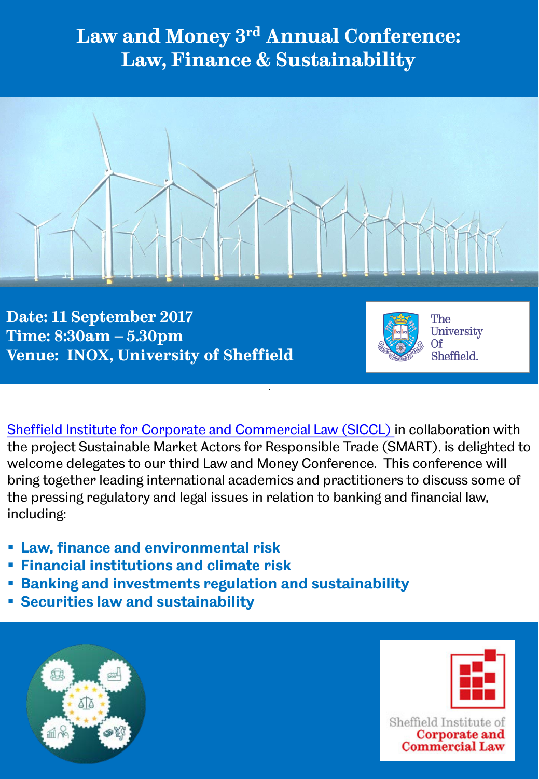### **Law and Money 3rd Annual Conference: Law, Finance & Sustainability**



**Date: 11 September 2017 Time: 8:30am – 5.30pm Venue: INOX, University of Sheffield**



The University Of Sheffield.

[Sheffield Institute for Corporate and Commercial Law \(SICCL\)](http://www.sheffield.ac.uk/law/research/clusters/siccl) in collaboration with the project Sustainable Market Actors for Responsible Trade (SMART), is delighted to welcome delegates to our third Law and Money Conference. This conference will bring together leading international academics and practitioners to discuss some of the pressing regulatory and legal issues in relation to banking and financial law, including:

- **Law, finance and environmental risk**
- **Financial institutions and climate risk**
- **Banking and investments regulation and sustainability**
- **Securities law and sustainability**



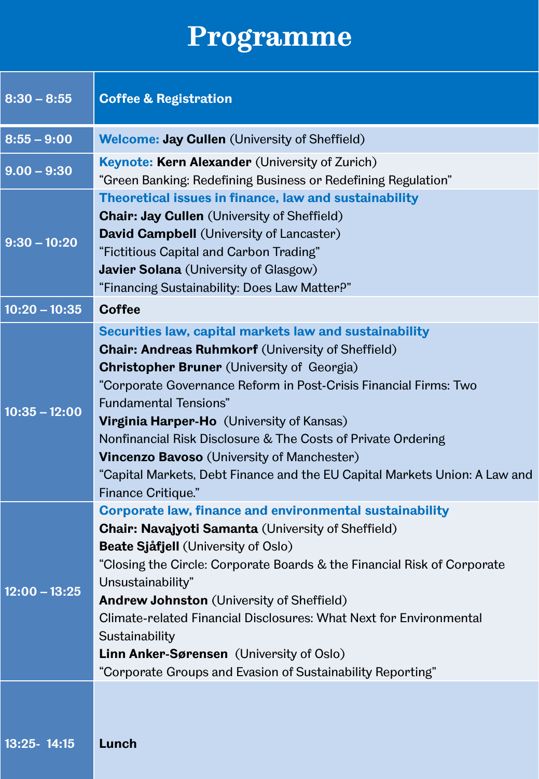# **Programme**

| $8:30 - 8:55$   | <b>Coffee &amp; Registration</b>                                                                                                                                                                                                                                                                                                                                                                                                                                                                                                                                |
|-----------------|-----------------------------------------------------------------------------------------------------------------------------------------------------------------------------------------------------------------------------------------------------------------------------------------------------------------------------------------------------------------------------------------------------------------------------------------------------------------------------------------------------------------------------------------------------------------|
| $8:55 - 9:00$   | <b>Welcome: Jay Cullen</b> (University of Sheffield)                                                                                                                                                                                                                                                                                                                                                                                                                                                                                                            |
| $9.00 - 9:30$   | <b>Keynote: Kern Alexander (University of Zurich)</b><br>"Green Banking: Redefining Business or Redefining Regulation"                                                                                                                                                                                                                                                                                                                                                                                                                                          |
| $9:30 - 10:20$  | Theoretical issues in finance, law and sustainability<br><b>Chair: Jay Cullen</b> (University of Sheffield)<br><b>David Campbell</b> (University of Lancaster)<br>"Fictitious Capital and Carbon Trading"<br><b>Javier Solana</b> (University of Glasgow)<br>"Financing Sustainability: Does Law Matter?"                                                                                                                                                                                                                                                       |
| $10:20 - 10:35$ | <b>Coffee</b>                                                                                                                                                                                                                                                                                                                                                                                                                                                                                                                                                   |
| $10:35 - 12:00$ | Securities law, capital markets law and sustainability<br><b>Chair: Andreas Ruhmkorf (University of Sheffield)</b><br><b>Christopher Bruner</b> (University of Georgia)<br>"Corporate Governance Reform in Post-Crisis Financial Firms: Two<br><b>Fundamental Tensions"</b><br><b>Virginia Harper-Ho</b> (University of Kansas)<br>Nonfinancial Risk Disclosure & The Costs of Private Ordering<br><b>Vincenzo Bavoso</b> (University of Manchester)<br>"Capital Markets, Debt Finance and the EU Capital Markets Union: A Law and<br><b>Finance Critique."</b> |
| $12:00 - 13:25$ | <b>Corporate law, finance and environmental sustainability</b><br><b>Chair: Navajyoti Samanta (University of Sheffield)</b><br><b>Beate Sjåfjell (University of Oslo)</b><br>"Closing the Circle: Corporate Boards & the Financial Risk of Corporate<br>Unsustainability"<br><b>Andrew Johnston</b> (University of Sheffield)<br>Climate-related Financial Disclosures: What Next for Environmental<br>Sustainability<br><b>Linn Anker-Sørensen</b> (University of Oslo)<br>"Corporate Groups and Evasion of Sustainability Reporting"                          |
| 13:25-14:15     | Lunch                                                                                                                                                                                                                                                                                                                                                                                                                                                                                                                                                           |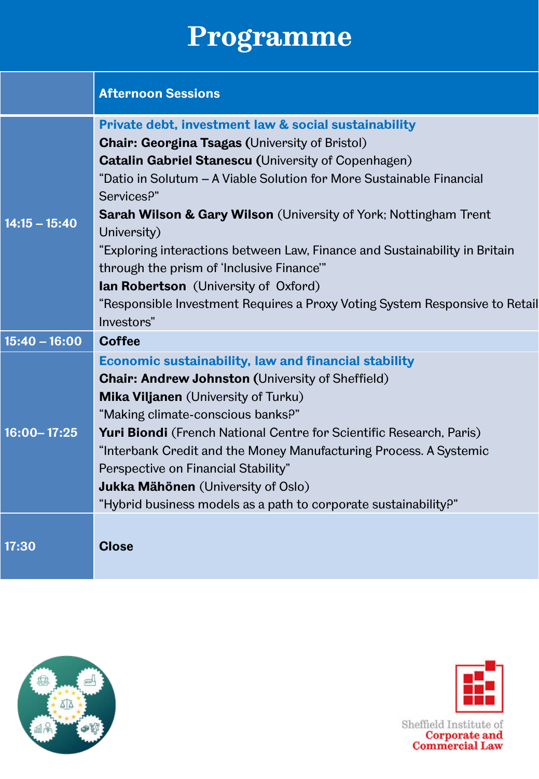## **Programme**

|                 | <b>Afternoon Sessions</b>                                                                                               |
|-----------------|-------------------------------------------------------------------------------------------------------------------------|
|                 | Private debt, investment law & social sustainability                                                                    |
|                 | <b>Chair: Georgina Tsagas (University of Bristol)</b>                                                                   |
| $14:15 - 15:40$ | <b>Catalin Gabriel Stanescu (University of Copenhagen)</b>                                                              |
|                 | "Datio in Solutum - A Viable Solution for More Sustainable Financial<br>Services <sup>p"</sup>                          |
|                 | <b>Sarah Wilson &amp; Gary Wilson</b> (University of York; Nottingham Trent<br>University)                              |
|                 | "Exploring interactions between Law, Finance and Sustainability in Britain<br>through the prism of 'Inclusive Finance'" |
|                 | <b>Ian Robertson</b> (University of Oxford)                                                                             |
|                 | "Responsible Investment Requires a Proxy Voting System Responsive to Retail                                             |
|                 | Investors"                                                                                                              |
| $15:40 - 16:00$ | <b>Coffee</b>                                                                                                           |
| $16:00 - 17:25$ | Economic sustainability, law and financial stability                                                                    |
|                 | <b>Chair: Andrew Johnston (University of Sheffield)</b>                                                                 |
|                 | Mika Viljanen (University of Turku)                                                                                     |
|                 | "Making climate-conscious banks?"                                                                                       |
|                 | Yuri Biondi (French National Centre for Scientific Research, Paris)                                                     |
|                 | "Interbank Credit and the Money Manufacturing Process. A Systemic                                                       |
|                 | Perspective on Financial Stability"                                                                                     |
|                 | <b>Jukka Mähönen</b> (University of Oslo)                                                                               |
|                 | "Hybrid business models as a path to corporate sustainability?"                                                         |
| 17:30           | <b>Close</b>                                                                                                            |





Sheffield Institute of<br>Corporate and<br>Commercial Law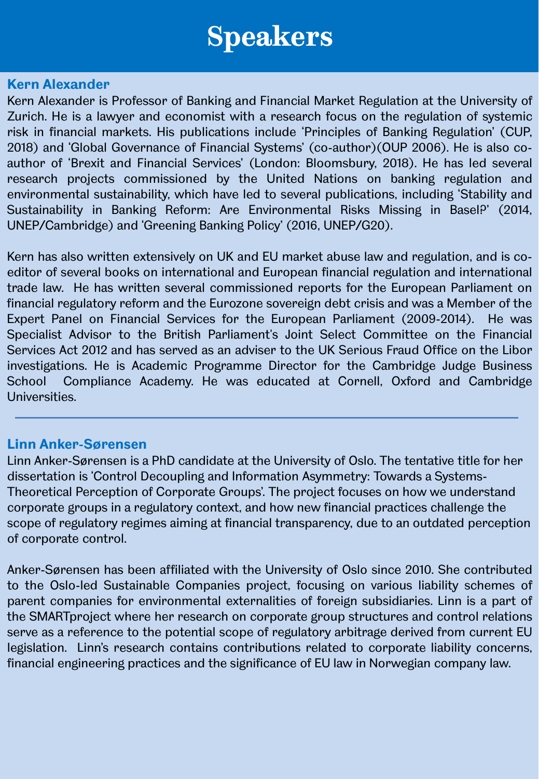### **Kern Alexander**

Kern Alexander is Professor of Banking and Financial Market Regulation at the University of Zurich. He is a lawyer and economist with a research focus on the regulation of systemic risk in financial markets. His publications include 'Principles of Banking Regulation' (CUP, 2018) and 'Global Governance of Financial Systems' (co-author)(OUP 2006). He is also coauthor of 'Brexit and Financial Services' (London: Bloomsbury, 2018). He has led several research projects commissioned by the United Nations on banking regulation and environmental sustainability, which have led to several publications, including 'Stability and Sustainability in Banking Reform: Are Environmental Risks Missing in Basel?' (2014, UNEP/Cambridge) and 'Greening Banking Policy' (2016, UNEP/G20).

Kern has also written extensively on UK and EU market abuse law and regulation, and is coeditor of several books on international and European financial regulation and international trade law. He has written several commissioned reports for the European Parliament on financial regulatory reform and the Eurozone sovereign debt crisis and was a Member of the Expert Panel on Financial Services for the European Parliament (2009-2014). He was Specialist Advisor to the British Parliament's Joint Select Committee on the Financial Services Act 2012 and has served as an adviser to the UK Serious Fraud Office on the Libor investigations. He is Academic Programme Director for the Cambridge Judge Business School Compliance Academy. He was educated at Cornell, Oxford and Cambridge Universities.

### **Linn Anker-Sørensen**

Linn Anker-Sørensen is a PhD candidate at the University of Oslo. The tentative title for her dissertation is 'Control Decoupling and Information Asymmetry: Towards a Systems-Theoretical Perception of Corporate Groups'. The project focuses on how we understand corporate groups in a regulatory context, and how new financial practices challenge the scope of regulatory regimes aiming at financial transparency, due to an outdated perception of corporate control.

Anker-Sørensen has been affiliated with the University of Oslo since 2010. She contributed to the Oslo-led Sustainable Companies project, focusing on various liability schemes of parent companies for environmental externalities of foreign subsidiaries. Linn is a part of the SMARTproject where her research on corporate group structures and control relations serve as a reference to the potential scope of regulatory arbitrage derived from current EU legislation. Linn's research contains contributions related to corporate liability concerns, financial engineering practices and the significance of EU law in Norwegian company law.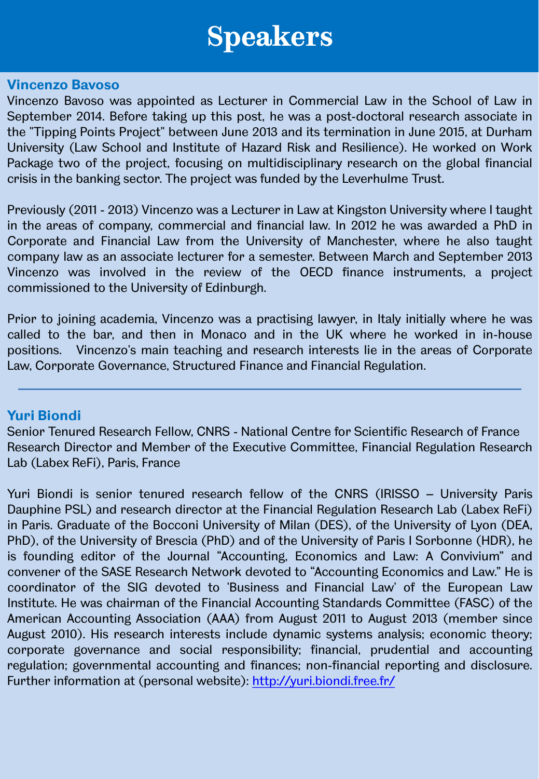#### **Vincenzo Bavoso**

Vincenzo Bavoso was appointed as Lecturer in Commercial Law in the School of Law in September 2014. Before taking up this post, he was a post-doctoral research associate in the "Tipping Points Project" between June 2013 and its termination in June 2015, at Durham University (Law School and Institute of Hazard Risk and Resilience). He worked on Work Package two of the project, focusing on multidisciplinary research on the global financial crisis in the banking sector. The project was funded by the Leverhulme Trust.

Previously (2011 - 2013) Vincenzo was a Lecturer in Law at Kingston University where I taught in the areas of company, commercial and financial law. In 2012 he was awarded a PhD in Corporate and Financial Law from the University of Manchester, where he also taught company law as an associate lecturer for a semester. Between March and September 2013 Vincenzo was involved in the review of the OECD finance instruments, a project commissioned to the University of Edinburgh.

Prior to joining academia, Vincenzo was a practising lawyer, in Italy initially where he was called to the bar, and then in Monaco and in the UK where he worked in in-house positions. Vincenzo's main teaching and research interests lie in the areas of Corporate Law, Corporate Governance, Structured Finance and Financial Regulation.

### **Yuri Biondi**

Senior Tenured Research Fellow, CNRS - National Centre for Scientific Research of France Research Director and Member of the Executive Committee, Financial Regulation Research Lab (Labex ReFi), Paris, France

Yuri Biondi is senior tenured research fellow of the CNRS (IRISSO – University Paris Dauphine PSL) and research director at the Financial Regulation Research Lab (Labex ReFi) in Paris. Graduate of the Bocconi University of Milan (DES), of the University of Lyon (DEA, PhD), of the University of Brescia (PhD) and of the University of Paris I Sorbonne (HDR), he is founding editor of the Journal "Accounting, Economics and Law: A Convivium" and convener of the SASE Research Network devoted to "Accounting Economics and Law." He is coordinator of the SIG devoted to 'Business and Financial Law' of the European Law Institute. He was chairman of the Financial Accounting Standards Committee (FASC) of the American Accounting Association (AAA) from August 2011 to August 2013 (member since August 2010). His research interests include dynamic systems analysis; economic theory; corporate governance and social responsibility; financial, prudential and accounting regulation; governmental accounting and finances; non-financial reporting and disclosure. Further information at (personal website): <http://yuri.biondi.free.fr/>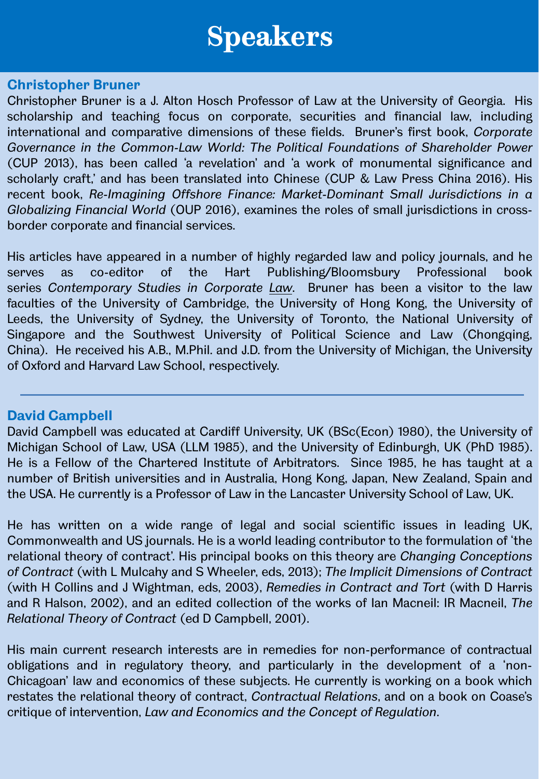#### **Christopher Bruner**

Christopher Bruner is a J. Alton Hosch Professor of Law at the University of Georgia. His scholarship and teaching focus on corporate, securities and financial law, including international and comparative dimensions of these fields. Bruner's first book, *Corporate Governance in the Common-Law World: The Political Foundations of Shareholder Power* (CUP 2013), has been called 'a revelation' and 'a work of monumental significance and scholarly craft,' and has been translated into Chinese (CUP & Law Press China 2016). His recent book, *Re-Imagining Offshore Finance: Market-Dominant Small Jurisdictions in a Globalizing Financial World* (OUP 2016), examines the roles of small jurisdictions in crossborder corporate and financial services.

His articles have appeared in a number of highly regarded law and policy journals, and he serves as co-editor of the Hart Publishing/Bloomsbury Professional book series *Contemporary Studies in Corporate Law*. Bruner has been a visitor to the law faculties of the University of Cambridge, the University of Hong Kong, the University of Leeds, the University of Sydney, the University of Toronto, the National University of Singapore and the Southwest University of Political Science and Law (Chongqing, China). He received his A.B., M.Phil. and J.D. from the University of Michigan, the University of Oxford and Harvard Law School, respectively.

### **David Campbell**

David Campbell was educated at Cardiff University, UK (BSc(Econ) 1980), the University of Michigan School of Law, USA (LLM 1985), and the University of Edinburgh, UK (PhD 1985). He is a Fellow of the Chartered Institute of Arbitrators. Since 1985, he has taught at a number of British universities and in Australia, Hong Kong, Japan, New Zealand, Spain and the USA. He currently is a Professor of Law in the Lancaster University School of Law, UK.

He has written on a wide range of legal and social scientific issues in leading UK, Commonwealth and US journals. He is a world leading contributor to the formulation of 'the relational theory of contract'. His principal books on this theory are *Changing Conceptions of Contract* (with L Mulcahy and S Wheeler, eds, 2013); *The Implicit Dimensions of Contract* (with H Collins and J Wightman, eds, 2003), *Remedies in Contract and Tort* (with D Harris and R Halson, 2002), and an edited collection of the works of Ian Macneil: IR Macneil, *The Relational Theory of Contract* (ed D Campbell, 2001).

His main current research interests are in remedies for non-performance of contractual obligations and in regulatory theory, and particularly in the development of a 'non-Chicagoan' law and economics of these subjects. He currently is working on a book which restates the relational theory of contract, *Contractual Relations*, and on a book on Coase's critique of intervention, *Law and Economics and the Concept of Regulation*.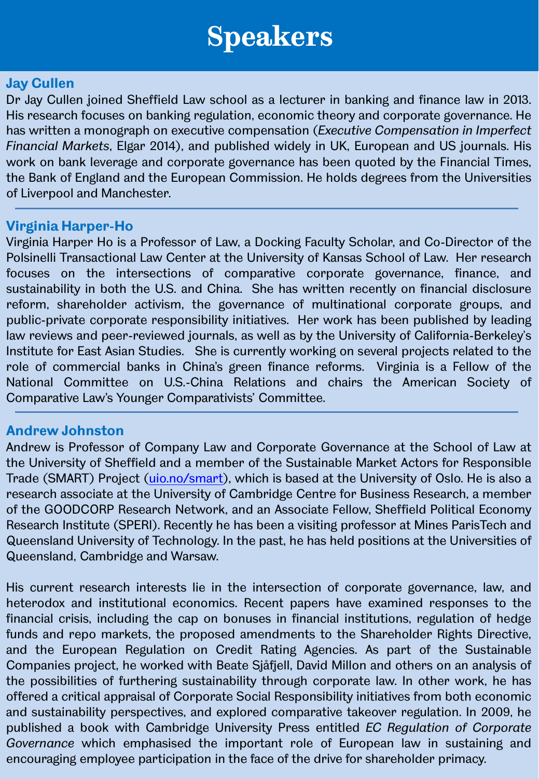### **Jay Cullen**

Dr Jay Cullen joined Sheffield Law school as a lecturer in banking and finance law in 2013. His research focuses on banking regulation, economic theory and corporate governance. He has written a monograph on executive compensation (*Executive Compensation in Imperfect Financial Markets*, Elgar 2014), and published widely in UK, European and US journals. His work on bank leverage and corporate governance has been quoted by the Financial Times, the Bank of England and the European Commission. He holds degrees from the Universities of Liverpool and Manchester.

### **Virginia Harper-Ho**

Virginia Harper Ho is a Professor of Law, a Docking Faculty Scholar, and Co-Director of the Polsinelli Transactional Law Center at the University of Kansas School of Law. Her research focuses on the intersections of comparative corporate governance, finance, and sustainability in both the U.S. and China. She has written recently on financial disclosure reform, shareholder activism, the governance of multinational corporate groups, and public-private corporate responsibility initiatives. Her work has been published by leading law reviews and peer-reviewed journals, as well as by the University of California-Berkeley's Institute for East Asian Studies. She is currently working on several projects related to the role of commercial banks in China's green finance reforms. Virginia is a Fellow of the National Committee on U.S.-China Relations and chairs the American Society of Comparative Law's Younger Comparativists' Committee.

### **Andrew Johnston**

Andrew is Professor of Company Law and Corporate Governance at the School of Law at the University of Sheffield and a member of the Sustainable Market Actors for Responsible Trade (SMART) Project [\(uio.no/smart\)](http://uio.no/smart), which is based at the University of Oslo. He is also a research associate at the University of Cambridge Centre for Business Research, a member of the GOODCORP Research Network, and an Associate Fellow, Sheffield Political Economy Research Institute (SPERI). Recently he has been a visiting professor at Mines ParisTech and Queensland University of Technology. In the past, he has held positions at the Universities of Queensland, Cambridge and Warsaw.

His current research interests lie in the intersection of corporate governance, law, and heterodox and institutional economics. Recent papers have examined responses to the financial crisis, including the cap on bonuses in financial institutions, regulation of hedge funds and repo markets, the proposed amendments to the Shareholder Rights Directive, and the European Regulation on Credit Rating Agencies. As part of the Sustainable Companies project, he worked with Beate Sjåfjell, David Millon and others on an analysis of the possibilities of furthering sustainability through corporate law. In other work, he has offered a critical appraisal of Corporate Social Responsibility initiatives from both economic and sustainability perspectives, and explored comparative takeover regulation. In 2009, he published a book with Cambridge University Press entitled *EC Regulation of Corporate Governance* which emphasised the important role of European law in sustaining and encouraging employee participation in the face of the drive for shareholder primacy.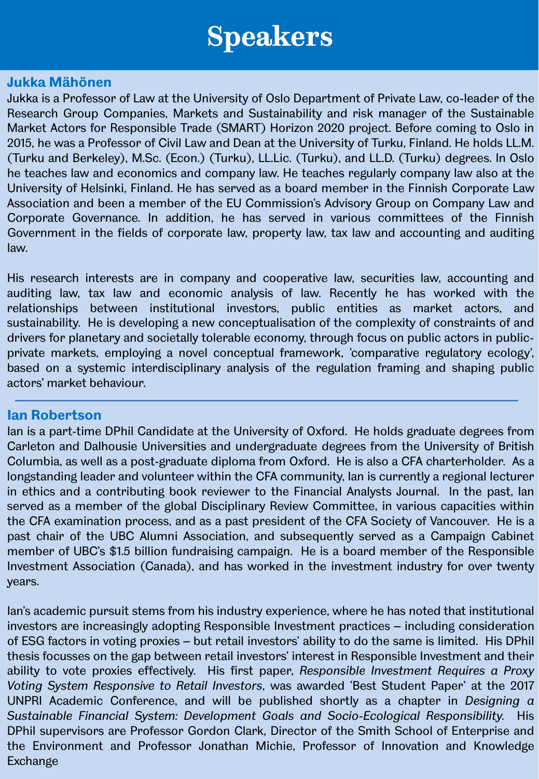#### **Jukka Mähönen**

Jukka is a Professor of Law at the University of Oslo Department of Private Law, co-leader of the Research Group Companies, Markets and Sustainability and risk manager of the Sustainable Market Actors for Responsible Trade (SMART) Horizon 2020 project. Before coming to Oslo in 2015, he was a Professor of Civil Law and Dean at the University of Turku, Finland. He holds LL.M. (Turku and Berkeley), M.Sc. (Econ.) (Turku), LL.Lic. (Turku), and LL.D. (Turku) degrees. In Oslo he teaches law and economics and company law. He teaches regularly company law also at the University of Helsinki, Finland. He has served as a board member in the Finnish Corporate Law Association and been a member of the EU Commission's Advisory Group on Company Law and Corporate Governance. In addition, he has served in various committees of the Finnish Government in the fields of corporate law, property law, tax law and accounting and auditing law.

His research interests are in company and cooperative law, securities law, accounting and auditing law, tax law and economic analysis of law. Recently he has worked with the relationships between institutional investors, public entities as market actors, and sustainability. He is developing a new conceptualisation of the complexity of constraints of and drivers for planetary and societally tolerable economy, through focus on public actors in publicprivate markets, employing a novel conceptual framework, 'comparative regulatory ecology', based on a systemic interdisciplinary analysis of the regulation framing and shaping public actors' market behaviour.

### **Ian Robertson**

Ian is a part-time DPhil Candidate at the University of Oxford. He holds graduate degrees from Carleton and Dalhousie Universities and undergraduate degrees from the University of British Columbia, as well as a post-graduate diploma from Oxford. He is also a CFA charterholder. As a longstanding leader and volunteer within the CFA community, Ian is currently a regional lecturer in ethics and a contributing book reviewer to the Financial Analysts Journal. In the past, Ian served as a member of the global Disciplinary Review Committee, in various capacities within the CFA examination process, and as a past president of the CFA Society of Vancouver. He is a past chair of the UBC Alumni Association, and subsequently served as a Campaign Cabinet member of UBC's \$1.5 billion fundraising campaign. He is a board member of the Responsible Investment Association (Canada), and has worked in the investment industry for over twenty years.

Ian's academic pursuit stems from his industry experience, where he has noted that institutional investors are increasingly adopting Responsible Investment practices – including consideration of ESG factors in voting proxies – but retail investors' ability to do the same is limited. His DPhil thesis focusses on the gap between retail investors' interest in Responsible Investment and their ability to vote proxies effectively. His first paper, *Responsible Investment Requires a Proxy Voting System Responsive to Retail Investors*, was awarded 'Best Student Paper' at the 2017 UNPRI Academic Conference, and will be published shortly as a chapter in *Designing a Sustainable Financial System: Development Goals and Socio-Ecological Responsibility.* His DPhil supervisors are Professor Gordon Clark, Director of the Smith School of Enterprise and the Environment and Professor Jonathan Michie, Professor of Innovation and Knowledge Exchange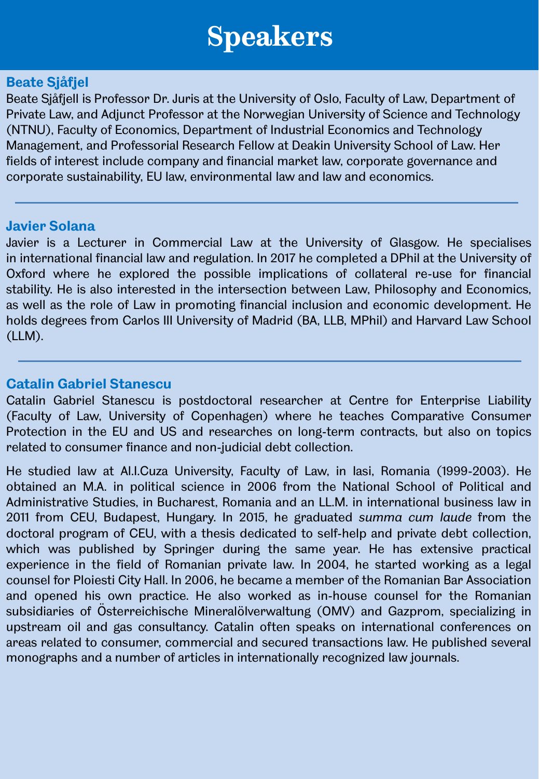### **Beate Sjåfjel**

Beate Sjåfjell is Professor Dr. Juris at the University of Oslo, Faculty of Law, Department of Private Law, and Adjunct Professor at the Norwegian University of Science and Technology (NTNU), Faculty of Economics, Department of Industrial Economics and Technology Management, and Professorial Research Fellow at Deakin University School of Law. Her fields of interest include company and financial market law, corporate governance and corporate sustainability, EU law, environmental law and law and economics.

### **Javier Solana**

Javier is a Lecturer in Commercial Law at the University of Glasgow. He specialises in international financial law and regulation. In 2017 he completed a DPhil at the University of Oxford where he explored the possible implications of collateral re-use for financial stability. He is also interested in the intersection between Law, Philosophy and Economics, as well as the role of Law in promoting financial inclusion and economic development. He holds degrees from Carlos III University of Madrid (BA, LLB, MPhil) and Harvard Law School (LLM).

### **Catalin Gabriel Stanescu**

Catalin Gabriel Stanescu is postdoctoral researcher at Centre for Enterprise Liability (Faculty of Law, University of Copenhagen) where he teaches Comparative Consumer Protection in the EU and US and researches on long-term contracts, but also on topics related to consumer finance and non-judicial debt collection.

He studied law at Al.I.Cuza University, Faculty of Law, in Iasi, Romania (1999-2003). He obtained an M.A. in political science in 2006 from the National School of Political and Administrative Studies, in Bucharest, Romania and an LL.M. in international business law in 2011 from CEU, Budapest, Hungary. In 2015, he graduated *summa cum laude* from the doctoral program of CEU, with a thesis dedicated to self-help and private debt collection, which was published by Springer during the same year. He has extensive practical experience in the field of Romanian private law. In 2004, he started working as a legal counsel for Ploiesti City Hall. In 2006, he became a member of the Romanian Bar Association and opened his own practice. He also worked as in-house counsel for the Romanian subsidiaries of Österreichische Mineralölverwaltung (OMV) and Gazprom, specializing in upstream oil and gas consultancy. Catalin often speaks on international conferences on areas related to consumer, commercial and secured transactions law. He published several monographs and a number of articles in internationally recognized law journals.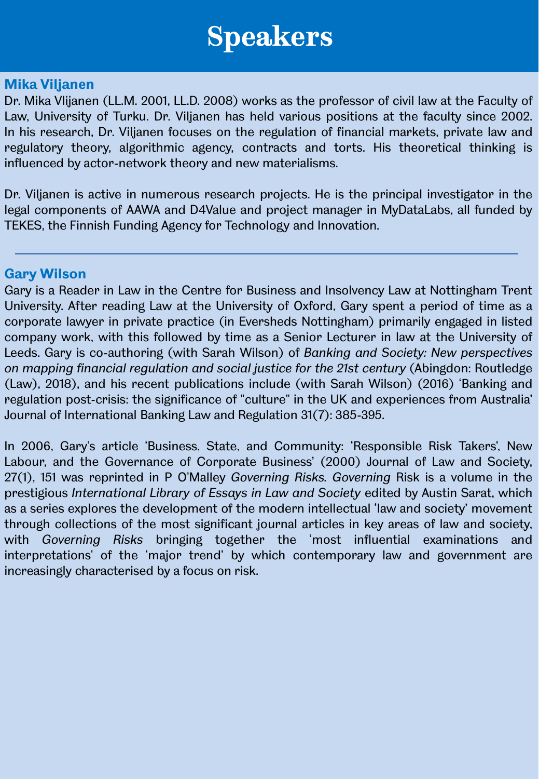#### **Mika Viljanen**

Dr. Mika Vlijanen (LL.M. 2001, LL.D. 2008) works as the professor of civil law at the Faculty of Law, University of Turku. Dr. Viljanen has held various positions at the faculty since 2002. In his research, Dr. Viljanen focuses on the regulation of financial markets, private law and regulatory theory, algorithmic agency, contracts and torts. His theoretical thinking is influenced by actor-network theory and new materialisms.

Dr. Viljanen is active in numerous research projects. He is the principal investigator in the legal components of AAWA and D4Value and project manager in MyDataLabs, all funded by TEKES, the Finnish Funding Agency for Technology and Innovation.

#### **Gary Wilson**

Gary is a Reader in Law in the Centre for Business and Insolvency Law at Nottingham Trent University. After reading Law at the University of Oxford, Gary spent a period of time as a corporate lawyer in private practice (in Eversheds Nottingham) primarily engaged in listed company work, with this followed by time as a Senior Lecturer in law at the University of Leeds. Gary is co-authoring (with Sarah Wilson) of *Banking and Society: New perspectives on mapping financial regulation and social justice for the 21st century* (Abingdon: Routledge (Law), 2018), and his recent publications include (with Sarah Wilson) (2016) 'Banking and regulation post-crisis: the significance of "culture" in the UK and experiences from Australia' Journal of International Banking Law and Regulation 31(7): 385-395.

In 2006, Gary's article 'Business, State, and Community: 'Responsible Risk Takers', New Labour, and the Governance of Corporate Business' (2000) Journal of Law and Society, 27(1), 151 was reprinted in P O'Malley *Governing Risks. Governing* Risk is a volume in the prestigious *International Library of Essays in Law and Society* edited by Austin Sarat, which as a series explores the development of the modern intellectual 'law and society' movement through collections of the most significant journal articles in key areas of law and society, with *Governing Risks* bringing together the 'most influential examinations and interpretations' of the 'major trend' by which contemporary law and government are increasingly characterised by a focus on risk.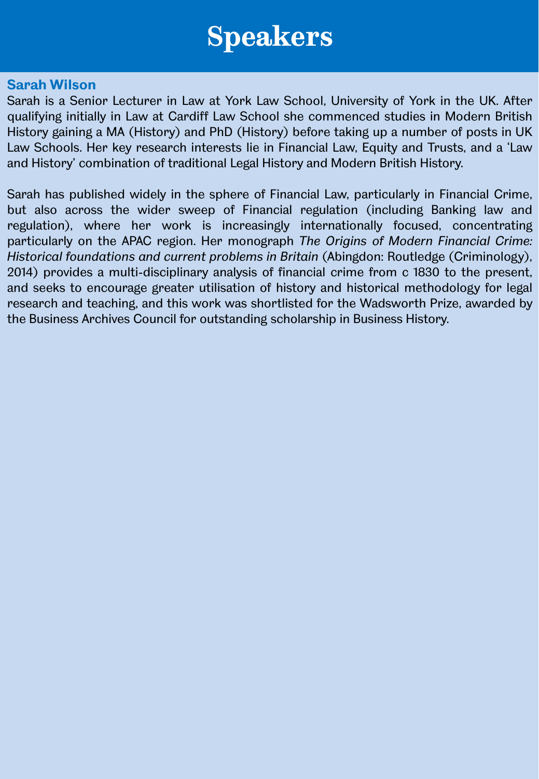#### **Sarah Wilson**

Sarah is a Senior Lecturer in Law at York Law School, University of York in the UK. After qualifying initially in Law at Cardiff Law School she commenced studies in Modern British History gaining a MA (History) and PhD (History) before taking up a number of posts in UK Law Schools. Her key research interests lie in Financial Law, Equity and Trusts, and a 'Law and History' combination of traditional Legal History and Modern British History.

Sarah has published widely in the sphere of Financial Law, particularly in Financial Crime, but also across the wider sweep of Financial regulation (including Banking law and regulation), where her work is increasingly internationally focused, concentrating particularly on the APAC region. Her monograph *The Origins of Modern Financial Crime: Historical foundations and current problems in Britain* (Abingdon: Routledge (Criminology), 2014) provides a multi-disciplinary analysis of financial crime from c 1830 to the present, and seeks to encourage greater utilisation of history and historical methodology for legal research and teaching, and this work was shortlisted for the Wadsworth Prize, awarded by the Business Archives Council for outstanding scholarship in Business History.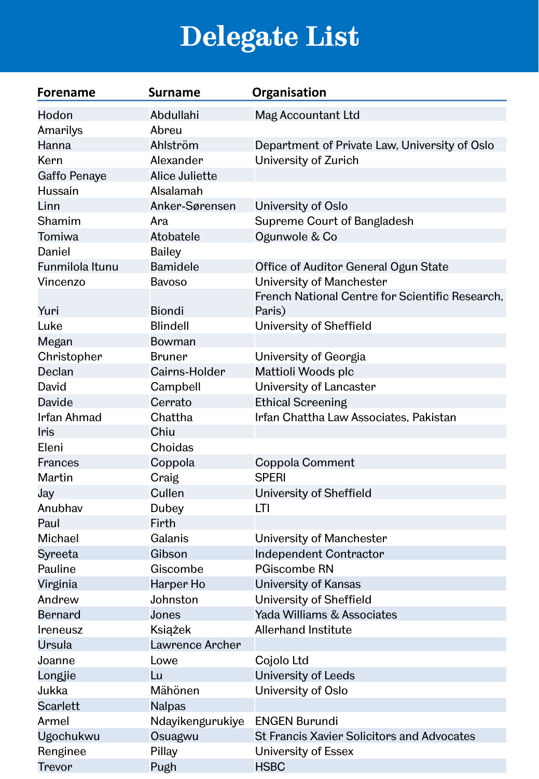# **Delegate List**

| <b>Forename</b> | <b>Surname</b>   | Organisation                                              |
|-----------------|------------------|-----------------------------------------------------------|
| Hodon           | Abdullahi        | Mag Accountant Ltd                                        |
| Amarilys        | Abreu            |                                                           |
| Hanna           | Ahlström         | Department of Private Law, University of Oslo             |
| Kern            | Alexander        | University of Zurich                                      |
| Gaffo Penaye    | Alice Juliette   |                                                           |
| Hussain         | Alsalamah        |                                                           |
| Linn            | Anker-Sørensen   | University of Oslo                                        |
| Shamim          | Ara              | Supreme Court of Bangladesh                               |
| Tomiwa          | Atobatele        | Ogunwole & Co                                             |
| Daniel          | Bailey           |                                                           |
| Funmilola Itunu | Bamidele         | Office of Auditor General Ogun State                      |
| Vincenzo        | <b>Bavoso</b>    | University of Manchester                                  |
| Yuri            | <b>Biondi</b>    | French National Centre for Scientific Research,<br>Paris) |
| Luke            | <b>Blindell</b>  | University of Sheffield                                   |
| Megan           | Bowman           |                                                           |
| Christopher     | <b>Bruner</b>    | University of Georgia                                     |
| Declan          | Cairns-Holder    | Mattioli Woods plc                                        |
| David           | Campbell         | University of Lancaster                                   |
| Davide          | Cerrato          | <b>Ethical Screening</b>                                  |
| Irfan Ahmad     | Chattha          | Irfan Chattha Law Associates, Pakistan                    |
| Iris            | Chiu             |                                                           |
| Eleni           | Choidas          |                                                           |
| Frances         | Coppola          | Coppola Comment                                           |
| Martin          | Craig            | <b>SPERI</b>                                              |
| Jay             | Cullen           | University of Sheffield                                   |
| Anubhav         | Dubey            | LТI                                                       |
| Paul            | Firth            |                                                           |
| Michael         | Galanis          | University of Manchester                                  |
| Syreeta         | Gibson           | <b>Independent Contractor</b>                             |
| Pauline         | Giscombe         | <b>PGiscombe RN</b>                                       |
| Virginia        | Harper Ho        | University of Kansas                                      |
| Andrew          | Johnston         | University of Sheffield                                   |
| <b>Bernard</b>  | Jones            | Yada Williams & Associates                                |
| Ireneusz        | Książek          | Allerhand Institute                                       |
| Ursula          | Lawrence Archer  |                                                           |
| Joanne          | Lowe             | Cojolo Ltd                                                |
| Longjie         | Lu               | University of Leeds                                       |
| Jukka           | Mähönen          | University of Oslo                                        |
| Scarlett        | <b>Nalpas</b>    |                                                           |
| Armel           | Ndayikengurukiye | <b>ENGEN Burundi</b>                                      |
| Ugochukwu       | Osuagwu          | <b>St Francis Xavier Solicitors and Advocates</b>         |
| Renginee        | Pillay           | University of Essex                                       |
| Trevor          | Pugh             | <b>HSBC</b>                                               |